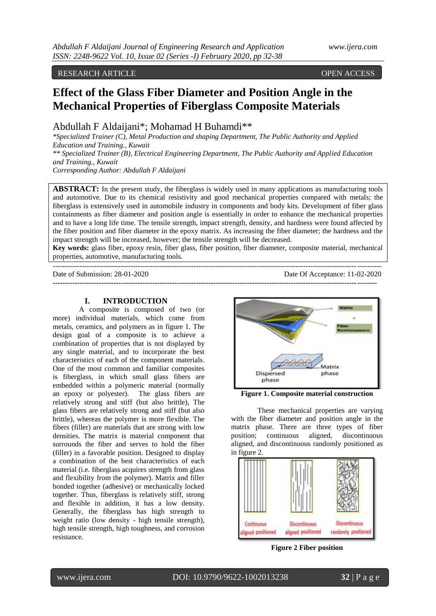### RESEARCH ARTICLE **ARTICLE** And the contract of the contract of the contract of the contract of the contract of the contract of the contract of the contract of the contract of the contract of the contract of the contract of

# **Effect of the Glass Fiber Diameter and Position Angle in the Mechanical Properties of Fiberglass Composite Materials**

Abdullah F Aldaijani\*; Mohamad H Buhamdi\*\*

*\*Specialized Trainer (C), Metal Production and shaping Department, The Public Authority and Applied Education and Training., Kuwait \*\* Specialized Trainer (B), Electrical Engineering Department, The Public Authority and Applied Education* 

*and Training., Kuwait Corresponding Author: Abdullah F Aldaijani*

**ABSTRACT:** In the present study, the fiberglass is widely used in many applications as manufacturing tools and automotive. Due to its chemical resistivity and good mechanical properties compared with metals; the fiberglass is extensively used in automobile industry in components and body kits. Development of fiber glass containments as fiber diameter and position angle is essentially in order to enhance the mechanical properties and to have a long life time. The tensile strength, impact strength, density, and hardness were found affected by the fiber position and fiber diameter in the epoxy matrix. As increasing the fiber diameter; the hardness and the impact strength will be increased, however; the tensile strength will be decreased.

**Key words:** glass fiber, epoxy resin, fiber glass, fiber position, fiber diameter, composite material, mechanical properties, automotive, manufacturing tools. ---------------------------------------------------------------------------------------------------------------------------------------

**-------------------------------------------------------------------------------------------------------------------------------------**

Date of Submission: 28-01-2020 Date Of Acceptance: 11-02-2020

#### **I. INTRODUCTION**

A composite is composed of two (or more) individual materials, which come from metals, ceramics, and polymers as in figure 1. The design goal of a composite is to achieve a combination of properties that is not displayed by any single material, and to incorporate the best characteristics of each of the component materials. One of the most common and familiar composites is fiberglass, in which small glass fibers are embedded within a polymeric material (normally an epoxy or polyester). The glass fibers are relatively strong and stiff (but also brittle), The glass fibers are relatively strong and stiff (but also brittle), whereas the polymer is more flexible. The fibers (filler) are materials that are strong with low densities. The matrix is material component that surrounds the fiber and serves to hold the fiber (filler) in a favorable position. Designed to display a combination of the best characteristics of each material (i.e. fiberglass acquires strength from glass and flexibility from the polymer). Matrix and filler bonded together (adhesive) or mechanically locked together. Thus, fiberglass is relatively stiff, strong and flexible in addition, it has a low density. Generally, the fiberglass has high strength to weight ratio (low density - high tensile strength), high tensile strength, high toughness, and corrosion resistance.



**Figure 1. Composite material construction**

These mechanical properties are varying with the fiber diameter and position angle in the matrix phase. There are three types of fiber position; continuous aligned, discontinuous aligned, and discontinuous randomly positioned as in figure 2.



**Figure 2 Fiber position**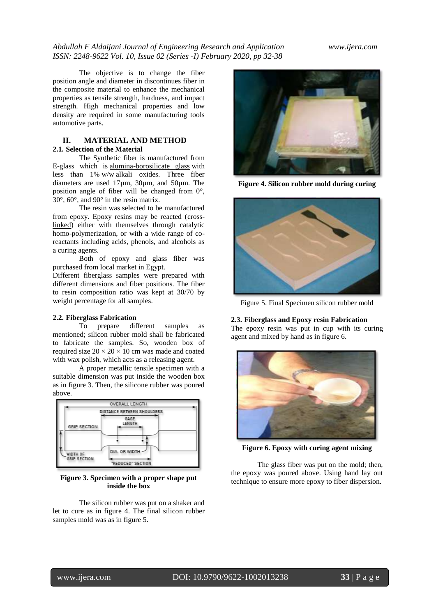The objective is to change the fiber position angle and diameter in discontinues fiber in the composite material to enhance the mechanical properties as tensile strength, hardness, and impact strength. High mechanical properties and low density are required in some manufacturing tools automotive parts.

## **II. MATERIAL AND METHOD 2.1. Selection of the Material**

The Synthetic fiber is manufactured from E-glass which is [alumina-borosilicate glass](https://en.wikipedia.org/wiki/Borosilicate_glass) with less than 1% [w/w](https://en.wikipedia.org/wiki/W/w) alkali oxides. Three fiber diameters are used 17µm, 30µm, and 50µm. The position angle of fiber will be changed from 0°, 30°, 60°, and 90° in the resin matrix.

The resin was selected to be manufactured from epoxy. Epoxy resins may be reacted [\(cross](https://en.wikipedia.org/wiki/Cross-linked)[linked\)](https://en.wikipedia.org/wiki/Cross-linked) either with themselves through catalytic homo-polymerization, or with a wide range of coreactants including acids, phenols, and alcohols as a curing agents.

Both of epoxy and glass fiber was purchased from local market in Egypt.

Different fiberglass samples were prepared with different dimensions and fiber positions. The fiber to resin composition ratio was kept at 30/70 by weight percentage for all samples.

#### **2.2. Fiberglass Fabrication**

To prepare different samples as mentioned; silicon rubber mold shall be fabricated to fabricate the samples. So, wooden box of required size  $20 \times 20 \times 10$  cm was made and coated with wax polish, which acts as a releasing agent.

A proper metallic tensile specimen with a suitable dimension was put inside the wooden box as in figure 3. Then, the silicone rubber was poured above.



## **Figure 3. Specimen with a proper shape put inside the box**

The silicon rubber was put on a shaker and let to cure as in figure 4. The final silicon rubber samples mold was as in figure 5.



**Figure 4. Silicon rubber mold during curing**



Figure 5. Final Specimen silicon rubber mold

**2.3. Fiberglass and Epoxy resin Fabrication** The epoxy resin was put in cup with its curing agent and mixed by hand as in figure 6.



**Figure 6. Epoxy with curing agent mixing**

The glass fiber was put on the mold; then, the epoxy was poured above. Using hand lay out technique to ensure more epoxy to fiber dispersion.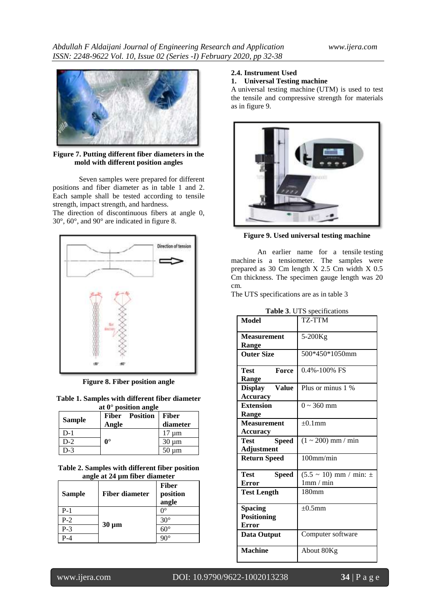

**Figure 7. Putting different fiber diameters in the mold with different position angles**

Seven samples were prepared for different positions and fiber diameter as in table 1 and 2. Each sample shall be tested according to tensile strength, impact strength, and hardness.

The direction of discontinuous fibers at angle 0, 30°, 60°, and 90° are indicated in figure 8.



**Figure 8. Fiber position angle**

**Table 1. Samples with different fiber diameter at 0° position angle**

| <b>Sample</b> | Angle                | Fiber Position | Fiber<br>diameter |
|---------------|----------------------|----------------|-------------------|
| $D-1$         |                      |                | $17 \mu m$        |
| $D-2$         | $\mathbf{0}^{\circ}$ |                | $30 \mu m$        |
| $D-3$         |                      |                | $50 \mu m$        |

**Table 2. Samples with different fiber position angle at 24 µm fiber diameter**

| - 7<br>Sample | <b>Fiber diameter</b> | <b>Fiber</b><br>position<br>angle |
|---------------|-----------------------|-----------------------------------|
| $P-1$         | $30 \mu m$            | ∩∘                                |
| $P-2$         |                       | $30^\circ$                        |
| $P-3$         |                       | $60^{\circ}$                      |
| P-4           |                       |                                   |

## **2.4. Instrument Used**

# **1. Universal Testing machine**

A universal testing machine (UTM) is used to test the tensile and compressive strength for materials as in figure 9.



**Figure 9. Used universal testing machine**

An earlier name for a tensile testing machine is a tensiometer. The samples were prepared as 30 Cm length X 2.5 Cm width X 0.5 Cm thickness. The specimen gauge length was 20 cm.

The UTS specifications are as in table 3

| Model                          | TZ-TTM                          |
|--------------------------------|---------------------------------|
| <b>Measurement</b>             | 5-200Kg                         |
| <b>Range</b>                   |                                 |
|                                |                                 |
| <b>Outer Size</b>              | 500*450*1050mm                  |
|                                |                                 |
| Force<br>Test                  | $0.4\% - 100\%$ FS              |
| Range                          |                                 |
| <b>Value</b><br><b>Display</b> | Plus or minus 1 %               |
| <b>Accuracy</b>                |                                 |
| <b>Extension</b>               | $0 \sim 360$ mm                 |
| Range                          |                                 |
| <b>Measurement</b>             | $\pm 0.1$ mm                    |
|                                |                                 |
| <b>Accuracy</b>                |                                 |
| Test<br><b>Speed</b>           | $(1 \sim 200)$ mm / min         |
| Adjustment                     |                                 |
| <b>Return Speed</b>            | $100$ mm/min                    |
|                                |                                 |
| Test<br><b>Speed</b>           | $(5.5 \sim 10)$ mm / min: $\pm$ |
| <b>Error</b>                   | 1mm/min                         |
| <b>Test Length</b>             | 180mm                           |
|                                |                                 |
| <b>Spacing</b>                 | $\pm 0.5$ mm                    |
| <b>Positioning</b>             |                                 |
| <b>Error</b>                   |                                 |
|                                |                                 |
| <b>Data Output</b>             | Computer software               |
| <b>Machine</b>                 | About 80Kg                      |
|                                |                                 |

**Table 3**. UTS specifications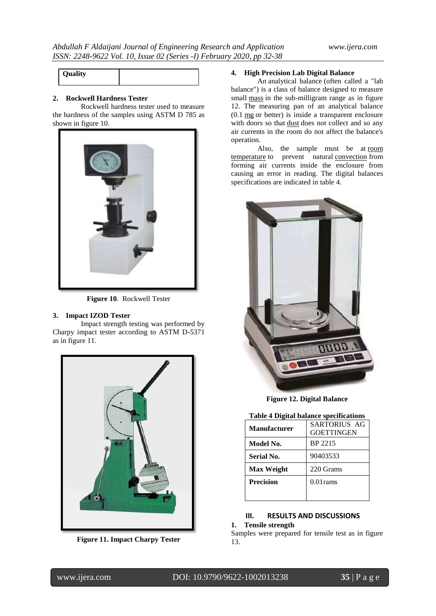| Quality |  |
|---------|--|

#### **2. Rockwell Hardness Tester**

Rockwell hardness tester used to measure the hardness of the samples using ASTM D 785 as shown in figure 10.



**Figure 10**. Rockwell Tester

## **3. Impact IZOD Tester**

Impact strength testing was performed by Charpy impact tester according to ASTM D-5371 as in figure 11.



**Figure 11. Impact Charpy Tester**

## **4. High Precision Lab Digital Balance**

An analytical balance (often called a "lab balance") is a class of balance designed to measure small [mass](https://en.wikipedia.org/wiki/Mass) in the sub-milligram range as in figure 12. The measuring pan of an analytical balance (0.1 [mg](https://en.wikipedia.org/wiki/Milligram) or better) is inside a transparent enclosure with doors so that [dust](https://en.wikipedia.org/wiki/Dust) does not collect and so any air currents in the room do not affect the balance's operation.

Also, the sample must be at [room](https://en.wikipedia.org/wiki/Room_temperature)  [temperature](https://en.wikipedia.org/wiki/Room_temperature) to prevent natural [convection](https://en.wikipedia.org/wiki/Convection) from forming air currents inside the enclosure from causing an error in reading. The digital balances specifications are indicated in table 4.



**Figure 12. Digital Balance**

#### **Table 4 Digital balance specifications**

| <b>Manufacturer</b> | <b>SARTORIUS AG</b><br><b>GOETTINGEN</b> |  |
|---------------------|------------------------------------------|--|
| Model No.           | BP 2215                                  |  |
| Serial No.          | 90403533                                 |  |
| <b>Max Weight</b>   | 220 Grams                                |  |
| <b>Precision</b>    | $0.01$ rams                              |  |
|                     |                                          |  |

# **III. RESULTS AND DISCUSSIONS**

## **1. Tensile strength**

Samples were prepared for tensile test as in figure 13.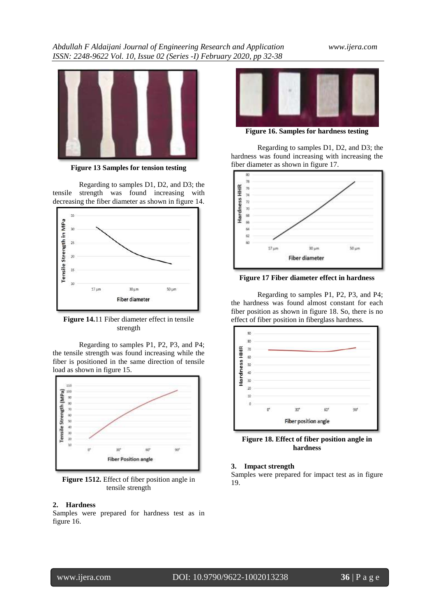*Abdullah F Aldaijani Journal of Engineering Research and Application www.ijera.com ISSN: 2248-9622 Vol. 10, Issue 02 (Series -I) February 2020, pp 32-38*



**Figure 13 Samples for tension testing**

Regarding to samples D1, D2, and D3; the tensile strength was found increasing with decreasing the fiber diameter as shown in figure 14.



**Figure 14.**11 Fiber diameter effect in tensile strength

Regarding to samples P1, P2, P3, and P4; the tensile strength was found increasing while the fiber is positioned in the same direction of tensile load as shown in figure 15.



**Figure 1512.** Effect of fiber position angle in tensile strength

#### **2. Hardness**

Samples were prepared for hardness test as in figure 16.



**Figure 16. Samples for hardness testing**

Regarding to samples D1, D2, and D3; the hardness was found increasing with increasing the fiber diameter as shown in figure 17.



**Figure 17 Fiber diameter effect in hardness**

Regarding to samples P1, P2, P3, and P4; the hardness was found almost constant for each fiber position as shown in figure 18. So, there is no effect of fiber position in fiberglass hardness.



**Figure 18. Effect of fiber position angle in hardness**

#### **3. Impact strength**

Samples were prepared for impact test as in figure 19.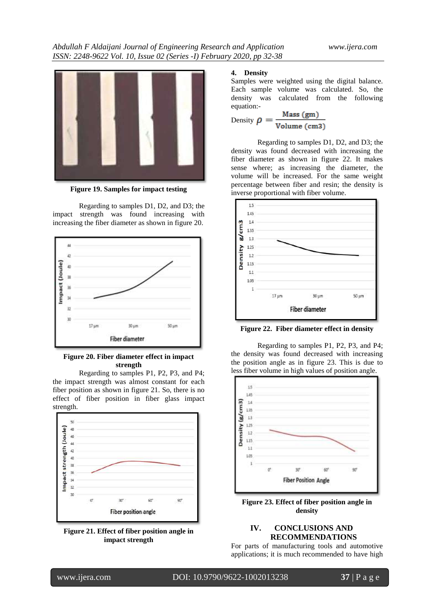

**Figure 19. Samples for impact testing**

Regarding to samples D1, D2, and D3; the impact strength was found increasing with increasing the fiber diameter as shown in figure 20.



**Figure 20. Fiber diameter effect in impact strength**

Regarding to samples P1, P2, P3, and P4; the impact strength was almost constant for each fiber position as shown in figure 21. So, there is no effect of fiber position in fiber glass impact strength.



**Figure 21. Effect of fiber position angle in impact strength**

#### **4. Density**

Samples were weighted using the digital balance. Each sample volume was calculated. So, the density was calculated from the following equation:-

Density 
$$
\rho = \frac{\text{Mass (gm)}}{\text{Volume (cm3)}}
$$

Regarding to samples D1, D2, and D3; the density was found decreased with increasing the fiber diameter as shown in figure 22. It makes sense where; as increasing the diameter, the volume will be increased. For the same weight percentage between fiber and resin; the density is inverse proportional with fiber volume.



**Figure 22. Fiber diameter effect in density**

Regarding to samples P1, P2, P3, and P4; the density was found decreased with increasing the position angle as in figure 23. This is due to less fiber volume in high values of position angle.



**Figure 23. Effect of fiber position angle in density**

## **IV. CONCLUSIONS AND RECOMMENDATIONS**

For parts of manufacturing tools and automotive applications; it is much recommended to have high